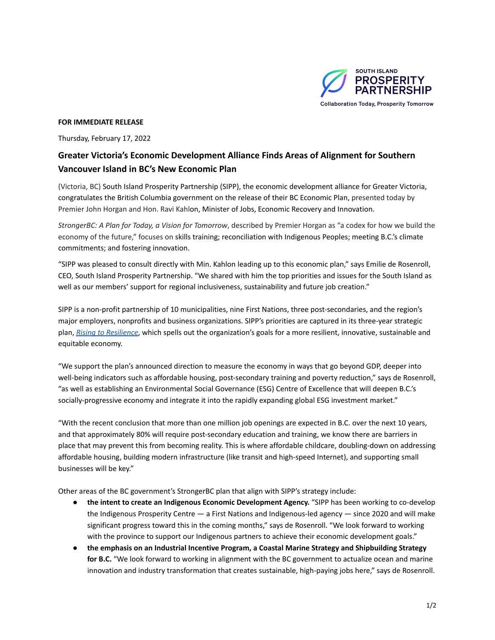

## **FOR IMMEDIATE RELEASE**

Thursday, February 17, 2022

## **Greater Victoria's Economic Development Alliance Finds Areas of Alignment for Southern Vancouver Island in BC's New Economic Plan**

(Victoria, BC) South Island Prosperity Partnership (SIPP), the economic development alliance for Greater Victoria, congratulates the British Columbia government on the release of their BC Economic Plan, presented today by Premier John Horgan and Hon. Ravi Kahlon, Minister of Jobs, Economic Recovery and Innovation.

*StrongerBC: A Plan for Today, a Vision for Tomorrow*, described by Premier Horgan as "a codex for how we build the economy of the future," focuses on skills training; reconciliation with Indigenous Peoples; meeting B.C.'s climate commitments; and fostering innovation.

"SIPP was pleased to consult directly with Min. Kahlon leading up to this economic plan," says Emilie de Rosenroll, CEO, South Island Prosperity Partnership. "We shared with him the top priorities and issues for the South Island as well as our members' support for regional inclusiveness, sustainability and future job creation."

SIPP is a non-profit partnership of 10 municipalities, nine First Nations, three post-secondaries, and the region's major employers, nonprofits and business organizations. SIPP's priorities are captured in its three-year strategic plan, *Rising to [Resilience](https://southislandprosperity.ca/wp-content/uploads/2021/04/Rising-to-Resilience-FINAL.pdf)*, which spells out the organization's goals for a more resilient, innovative, sustainable and equitable economy.

"We support the plan's announced direction to measure the economy in ways that go beyond GDP, deeper into well-being indicators such as affordable housing, post-secondary training and poverty reduction," says de Rosenroll, "as well as establishing an Environmental Social Governance (ESG) Centre of Excellence that will deepen B.C.'s socially-progressive economy and integrate it into the rapidly expanding global ESG investment market."

"With the recent conclusion that more than one million job openings are expected in B.C. over the next 10 years, and that approximately 80% will require post-secondary education and training, we know there are barriers in place that may prevent this from becoming reality. This is where affordable childcare, doubling-down on addressing affordable housing, building modern infrastructure (like transit and high-speed Internet), and supporting small businesses will be key."

Other areas of the BC government's StrongerBC plan that align with SIPP's strategy include:

- **the intent to create an Indigenous Economic Development Agency.** "SIPP has been working to co-develop the Indigenous Prosperity Centre — a First Nations and Indigenous-led agency — since 2020 and will make significant progress toward this in the coming months," says de Rosenroll. "We look forward to working with the province to support our Indigenous partners to achieve their economic development goals."
- **the emphasis on an Industrial Incentive Program, a Coastal Marine Strategy and Shipbuilding Strategy for B.C.** "We look forward to working in alignment with the BC government to actualize ocean and marine innovation and industry transformation that creates sustainable, high-paying jobs here," says de Rosenroll.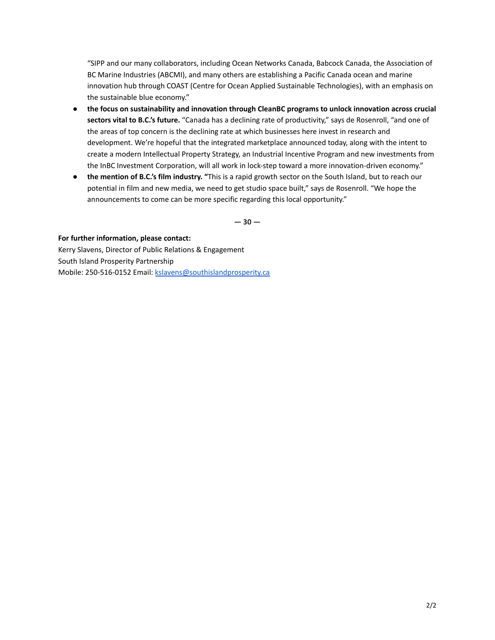"SIPP and our many collaborators, including Ocean Networks Canada, Babcock Canada, the Association of BC Marine Industries (ABCMI), and many others are establishing a Pacific Canada ocean and marine innovation hub through COAST (Centre for Ocean Applied Sustainable Technologies), with an emphasis on the sustainable blue economy."

- **the focus on sustainability and innovation through CleanBC programs to unlock innovation across crucial sectors vital to B.C.'s future.** "Canada has a declining rate of productivity," says de Rosenroll, "and one of the areas of top concern is the declining rate at which businesses here invest in research and development. We're hopeful that the integrated marketplace announced today, along with the intent to create a modern Intellectual Property Strategy, an Industrial Incentive Program and new investments from the InBC Investment Corporation, will all work in lock-step toward a more innovation-driven economy."
- **the mention of B.C.'s film industry. "**This is a rapid growth sector on the South Island, but to reach our potential in film and new media, we need to get studio space built," says de Rosenroll. "We hope the announcements to come can be more specific regarding this local opportunity."

**— 30 —**

**For further information, please contact:** Kerry Slavens, Director of Public Relations & Engagement South Island Prosperity Partnership Mobile: 250-516-0152 Email: [kslavens@southislandprosperity.ca](mailto:kslavens@southislandprosperity.ca)